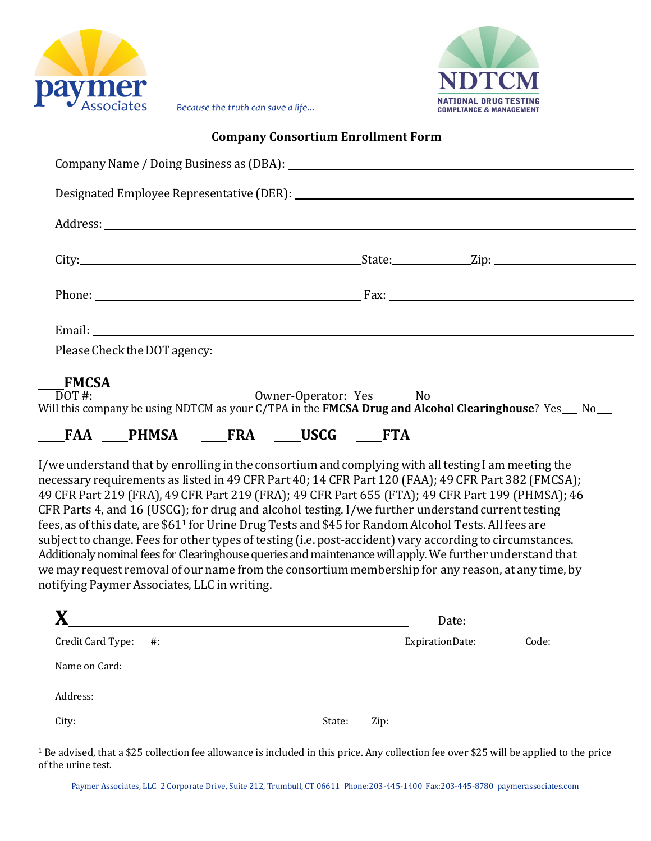



Because the truth can save a life...

## **Company Consortium Enrollment Form**

|              | Please Check the DOT agency:                 |                                                                                                                                                                                                                                                                                   |                                                                                                                                                                                                                                                                                                                                                                                                                                                                                                                                                                                                                                                                                                                                                                                                                                                                        |  |
|--------------|----------------------------------------------|-----------------------------------------------------------------------------------------------------------------------------------------------------------------------------------------------------------------------------------------------------------------------------------|------------------------------------------------------------------------------------------------------------------------------------------------------------------------------------------------------------------------------------------------------------------------------------------------------------------------------------------------------------------------------------------------------------------------------------------------------------------------------------------------------------------------------------------------------------------------------------------------------------------------------------------------------------------------------------------------------------------------------------------------------------------------------------------------------------------------------------------------------------------------|--|
| <b>FMCSA</b> | notifying Paymer Associates, LLC in writing. | <b>FAA PHMSA FRA USCG FTA</b>                                                                                                                                                                                                                                                     | I/we understand that by enrolling in the consortium and complying with all testing I am meeting the<br>necessary requirements as listed in 49 CFR Part 40; 14 CFR Part 120 (FAA); 49 CFR Part 382 (FMCSA);<br>49 CFR Part 219 (FRA), 49 CFR Part 219 (FRA); 49 CFR Part 655 (FTA); 49 CFR Part 199 (PHMSA); 46<br>CFR Parts 4, and 16 (USCG); for drug and alcohol testing. I/we further understand current testing<br>fees, as of this date, are \$61 <sup>1</sup> for Urine Drug Tests and \$45 for Random Alcohol Tests. All fees are<br>subject to change. Fees for other types of testing (i.e. post-accident) vary according to circumstances.<br>Additionaly nominal fees for Clearinghouse queries and maintenance will apply. We further understand that<br>we may request removal of our name from the consortium membership for any reason, at any time, by |  |
|              |                                              | $\mathbf{X}$ and $\mathbf{X}$ and $\mathbf{X}$ are the set of $\mathbf{X}$ and $\mathbf{X}$ are the set of $\mathbf{X}$ and $\mathbf{X}$ are the set of $\mathbf{X}$ and $\mathbf{X}$ are the set of $\mathbf{X}$ and $\mathbf{X}$ are the set of $\mathbf{X}$ and $\mathbf{X}$ a |                                                                                                                                                                                                                                                                                                                                                                                                                                                                                                                                                                                                                                                                                                                                                                                                                                                                        |  |
|              |                                              |                                                                                                                                                                                                                                                                                   |                                                                                                                                                                                                                                                                                                                                                                                                                                                                                                                                                                                                                                                                                                                                                                                                                                                                        |  |
|              |                                              | Name on Card: <u>contract and a series of the series of the series of the series of the series of the series of the series of the series of the series of the series of the series of the series of the series of the series of </u>                                              |                                                                                                                                                                                                                                                                                                                                                                                                                                                                                                                                                                                                                                                                                                                                                                                                                                                                        |  |
| Address:     |                                              |                                                                                                                                                                                                                                                                                   |                                                                                                                                                                                                                                                                                                                                                                                                                                                                                                                                                                                                                                                                                                                                                                                                                                                                        |  |

City: State: Zip:

<sup>1</sup> Be advised, that a \$25 collection fee allowance is included in this price. Any collection fee over \$25 will be applied to the price of the urine test.